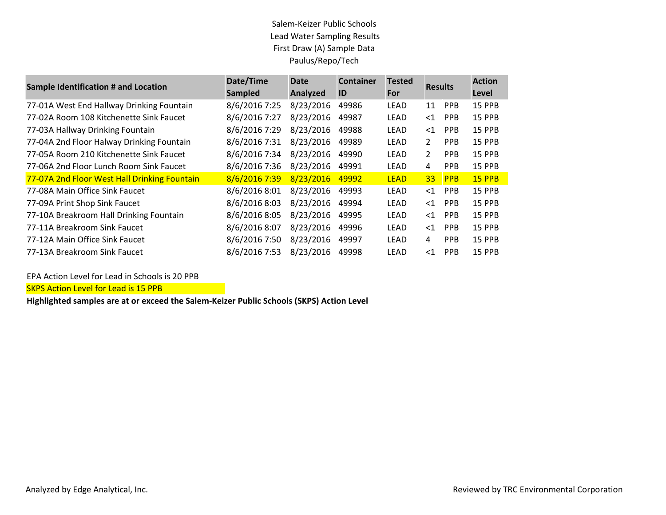### Salem-Keizer Public Schools Lead Water Sampling Results First Draw (A) Sample Data Paulus/Repo/Tech

| <b>Sample Identification # and Location</b>  | Date/Time      | <b>Date</b> | <b>Container</b> | <b>Tested</b> | <b>Results</b> |            | <b>Action</b> |
|----------------------------------------------|----------------|-------------|------------------|---------------|----------------|------------|---------------|
|                                              | <b>Sampled</b> | Analyzed    | ID               | For           |                |            | <b>Level</b>  |
| 77-01A West End Hallway Drinking Fountain    | 8/6/2016 7:25  | 8/23/2016   | 49986            | LEAD          | 11             | <b>PPB</b> | <b>15 PPB</b> |
| 77-02A Room 108 Kitchenette Sink Faucet      | 8/6/2016 7:27  | 8/23/2016   | 49987            | LEAD          | $<$ 1          | <b>PPB</b> | <b>15 PPB</b> |
| 77-03A Hallway Drinking Fountain             | 8/6/2016 7:29  | 8/23/2016   | 49988            | LEAD          | $<$ 1          | <b>PPB</b> | 15 PPB        |
| 77-04A 2nd Floor Halway Drinking Fountain    | 8/6/2016 7:31  | 8/23/2016   | 49989            | <b>LEAD</b>   | $\mathbf{2}$   | <b>PPB</b> | 15 PPB        |
| 77-05A Room 210 Kitchenette Sink Faucet      | 8/6/2016 7:34  | 8/23/2016   | 49990            | LEAD          | $\overline{2}$ | <b>PPB</b> | <b>15 PPB</b> |
| 77-06A 2nd Floor Lunch Room Sink Faucet      | 8/6/2016 7:36  | 8/23/2016   | 49991            | LEAD          | 4              | <b>PPB</b> | 15 PPB        |
| 77-07A 2nd Floor West Hall Drinking Fountain | 8/6/2016 7:39  | 8/23/2016   | 49992            | <b>LEAD</b>   | 33             | <b>PPB</b> | <b>15 PPB</b> |
| 77-08A Main Office Sink Faucet               | 8/6/2016 8:01  | 8/23/2016   | 49993            | LEAD          | $<$ 1          | <b>PPB</b> | 15 PPB        |
| 77-09A Print Shop Sink Faucet                | 8/6/2016 8:03  | 8/23/2016   | 49994            | LEAD          | $<$ 1          | <b>PPB</b> | <b>15 PPB</b> |
| 77-10A Breakroom Hall Drinking Fountain      | 8/6/2016 8:05  | 8/23/2016   | 49995            | LEAD          | $<$ 1          | <b>PPB</b> | 15 PPB        |
| 77-11A Breakroom Sink Faucet                 | 8/6/2016 8:07  | 8/23/2016   | 49996            | LEAD          | $<$ 1          | <b>PPB</b> | <b>15 PPB</b> |
| 77-12A Main Office Sink Faucet               | 8/6/2016 7:50  | 8/23/2016   | 49997            | LEAD          | 4              | <b>PPB</b> | 15 PPB        |
| 77-13A Breakroom Sink Faucet                 | 8/6/2016 7:53  | 8/23/2016   | 49998            | LEAD          | $<$ 1          | <b>PPB</b> | <b>15 PPB</b> |

EPA Action Level for Lead in Schools is 20 PPB

SKPS Action Level for Lead is 15 PPB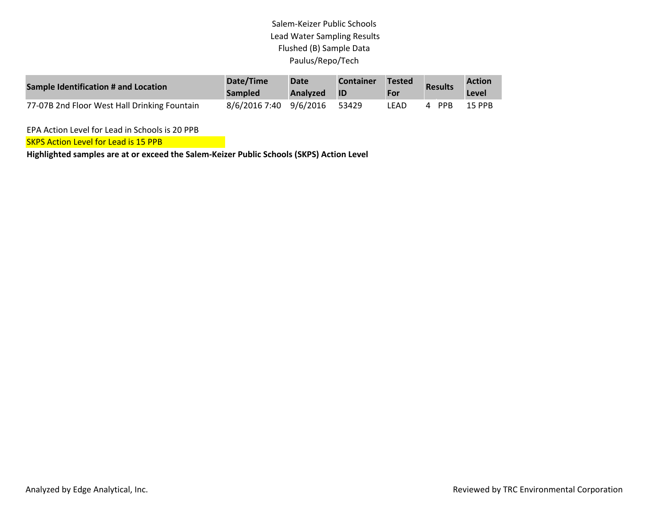# Salem-Keizer Public Schools Lead Water Sampling Results Flushed (B) Sample Data Paulus/Repo/Tech

| Sample Identification # and Location         | Date/Time<br><b>Sampled</b> | <b>Date</b><br>Analyzed | <b>Container</b><br>- ID | Tested<br>For | <b>Results</b>  | <b>Action</b><br>Level |
|----------------------------------------------|-----------------------------|-------------------------|--------------------------|---------------|-----------------|------------------------|
| 77-07B 2nd Floor West Hall Drinking Fountain | 8/6/2016 7:40 9/6/2016      |                         | 53429                    | LEAD          | <b>PPB</b><br>4 | 15 PPB                 |

EPA Action Level for Lead in Schools is 20 PPB

**SKPS Action Level for Lead is 15 PPB**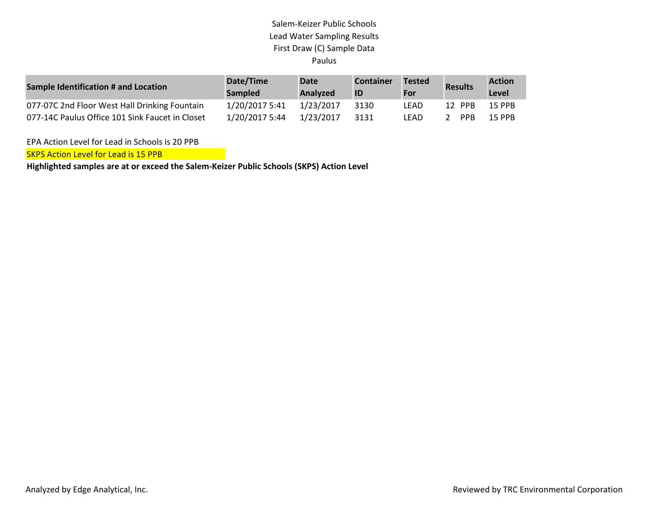### Salem-Keizer Public Schools Lead Water Sampling Results First Draw (C) Sample Data Paulus

| Sample Identification # and Location            | Date/Time<br><b>Sampled</b> | Date<br><b>Analyzed</b> | <b>Container</b><br>ID | <b>Tested</b><br>For | <b>Results</b> | <b>Action</b><br>Level |
|-------------------------------------------------|-----------------------------|-------------------------|------------------------|----------------------|----------------|------------------------|
| 077-07C 2nd Floor West Hall Drinking Fountain   | 1/20/2017 5:41              | 1/23/2017               | 3130                   | LEAD                 | 12 PPB         | <b>15 PPB</b>          |
| 077-14C Paulus Office 101 Sink Faucet in Closet | 1/20/2017 5:44              | 1/23/2017               | 3131                   | LEAD                 | <b>PPR</b>     | 15 PPR                 |

EPA Action Level for Lead in Schools is 20 PPB

**SKPS Action Level for Lead is 15 PPB**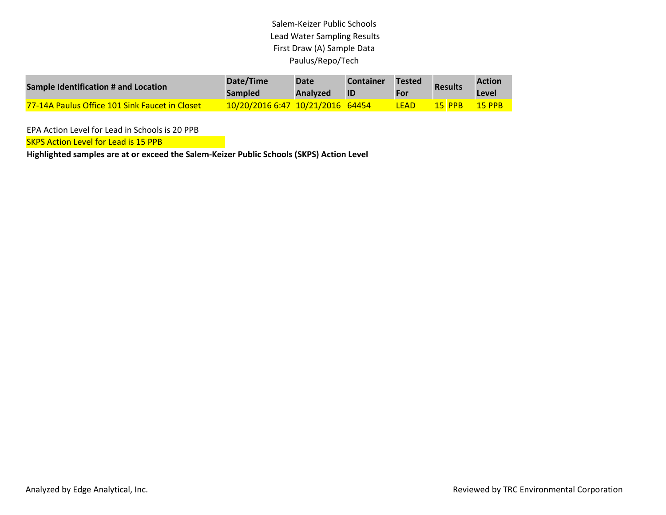# Salem-Keizer Public Schools Lead Water Sampling Results First Draw (A) Sample Data Paulus/Repo/Tech

| Sample Identification # and Location                  | Date/Time<br><b>Sampled</b>      | <b>Date</b><br>Analyzed | <b>Container</b><br>ID | <b>Tested</b><br>For | <b>Results</b> | <b>Action</b><br>Level |
|-------------------------------------------------------|----------------------------------|-------------------------|------------------------|----------------------|----------------|------------------------|
| <b>77-14A Paulus Office 101 Sink Faucet in Closet</b> | 10/20/2016 6:47 10/21/2016 64454 |                         |                        | I FAD                | 15 PPR         | 15 PPR                 |

EPA Action Level for Lead in Schools is 20 PPB

**SKPS Action Level for Lead is 15 PPB**